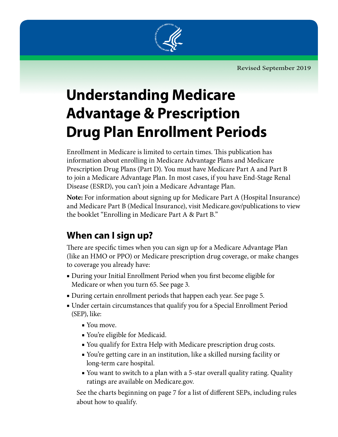Revised September 2019



# **Understanding Medicare Advantage & Prescription Drug Plan Enrollment Periods**

Enrollment in Medicare is limited to certain times. This publication has information about enrolling in Medicare Advantage Plans and Medicare Prescription Drug Plans (Part D). You must have Medicare Part A and Part B to join a Medicare Advantage Plan. In most cases, if you have End-Stage Renal Disease (ESRD), you can't join a Medicare Advantage Plan.

**Note:** For information about signing up for Medicare Part A (Hospital Insurance) and Medicare Part B (Medical Insurance), visit M[edicare.gov/publications](http://www.medicare.gov/publications) to view the booklet "Enrolling in Medicare Part A & Part B."

# **When can I sign up?**

There are specific times when you can sign up for a Medicare Advantage Plan (like an HMO or PPO) or Medicare prescription drug coverage, or make changes to coverage you already have:

- During your Initial Enrollment Period when you first become eligible for Medicare or when you turn 65. See page 3.
- During certain enrollment periods that happen each year. See page 5.
- Under certain circumstances that qualify you for a Special Enrollment Period (SEP), like:
	- You move.
	- You're eligible for Medicaid.
	- You qualify for Extra Help with Medicare prescription drug costs.
	- You're getting care in an institution, like a skilled nursing facility or long-term care hospital.
	- You want to switch to a plan with a 5-star overall quality rating. Quality ratings are available on Medicare.gov.

See the charts beginning on page 7 for a list of different SEPs, including rules about how to qualify.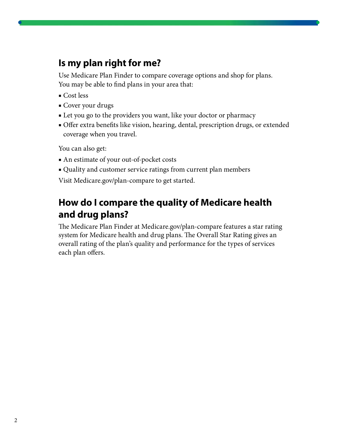#### **Is my plan right for me?**

Use Medicare Plan Finder to compare coverage options and shop for plans. You may be able to find plans in your area that:

- Cost less
- Cover your drugs
- Let you go to the providers you want, like your doctor or pharmacy
- Offer extra benefits like vision, hearing, dental, prescription drugs, or extended coverage when you travel.

You can also get:

- An estimate of your out-of-pocket costs
- Quality and customer service ratings from current plan members

Visit [Medicare.gov/plan-compare](http://Medicare.gov/plan-compare) to get started.

### **How do I compare the quality of Medicare health and drug plans?**

The Medicare Plan Finder at [Medicare.gov/plan-compare](http://Medicare.gov/plan-compare) features a star rating system for Medicare health and drug plans. The Overall Star Rating gives an overall rating of the plan's quality and performance for the types of services each plan offers.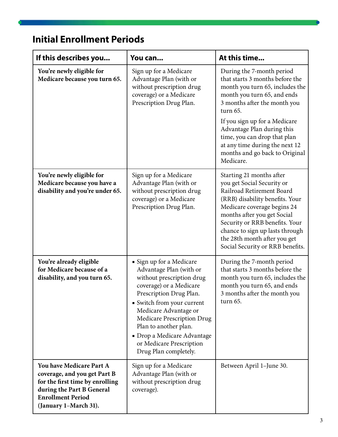### **Initial Enrollment Periods**

| If this describes you                                                                                                                                                         | You can                                                                                                                                                                                                                                                                                                                                  | At this time                                                                                                                                                                                                                                                                                                                                               |
|-------------------------------------------------------------------------------------------------------------------------------------------------------------------------------|------------------------------------------------------------------------------------------------------------------------------------------------------------------------------------------------------------------------------------------------------------------------------------------------------------------------------------------|------------------------------------------------------------------------------------------------------------------------------------------------------------------------------------------------------------------------------------------------------------------------------------------------------------------------------------------------------------|
| You're newly eligible for<br>Medicare because you turn 65.                                                                                                                    | Sign up for a Medicare<br>Advantage Plan (with or<br>without prescription drug<br>coverage) or a Medicare<br>Prescription Drug Plan.                                                                                                                                                                                                     | During the 7-month period<br>that starts 3 months before the<br>month you turn 65, includes the<br>month you turn 65, and ends<br>3 months after the month you<br>turn 65.<br>If you sign up for a Medicare<br>Advantage Plan during this<br>time, you can drop that plan<br>at any time during the next 12<br>months and go back to Original<br>Medicare. |
| You're newly eligible for<br>Medicare because you have a<br>disability and you're under 65.                                                                                   | Sign up for a Medicare<br>Advantage Plan (with or<br>without prescription drug<br>coverage) or a Medicare<br>Prescription Drug Plan.                                                                                                                                                                                                     | Starting 21 months after<br>you get Social Security or<br>Railroad Retirement Board<br>(RRB) disability benefits. Your<br>Medicare coverage begins 24<br>months after you get Social<br>Security or RRB benefits. Your<br>chance to sign up lasts through<br>the 28th month after you get<br>Social Security or RRB benefits.                              |
| You're already eligible<br>for Medicare because of a<br>disability, and you turn 65.                                                                                          | • Sign up for a Medicare<br>Advantage Plan (with or<br>without prescription drug<br>coverage) or a Medicare<br>Prescription Drug Plan.<br>• Switch from your current<br>Medicare Advantage or<br>Medicare Prescription Drug<br>Plan to another plan.<br>• Drop a Medicare Advantage<br>or Medicare Prescription<br>Drug Plan completely. | During the 7-month period<br>that starts 3 months before the<br>month you turn 65, includes the<br>month you turn 65, and ends<br>3 months after the month you<br>turn 65.                                                                                                                                                                                 |
| You have Medicare Part A<br>coverage, and you get Part B<br>for the first time by enrolling<br>during the Part B General<br><b>Enrollment Period</b><br>(January 1-March 31). | Sign up for a Medicare<br>Advantage Plan (with or<br>without prescription drug<br>coverage).                                                                                                                                                                                                                                             | Between April 1-June 30.                                                                                                                                                                                                                                                                                                                                   |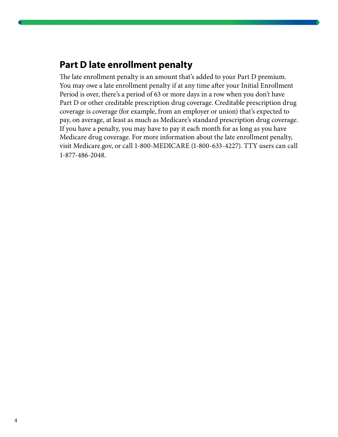#### **Part D late enrollment penalty**

The late enrollment penalty is an amount that's added to your Part D premium. You may owe a late enrollment penalty if at any time after your Initial Enrollment Period is over, there's a period of 63 or more days in a row when you don't have Part D or other creditable prescription drug coverage. Creditable prescription drug coverage is coverage (for example, from an employer or union) that's expected to pay, on average, at least as much as Medicare's standard prescription drug coverage. If you have a penalty, you may have to pay it each month for as long as you have Medicare drug coverage. For more information about the late enrollment penalty, visit Medicare.gov, or call 1-800-MEDICARE (1-800-633-4227). TTY users can call 1-877-486-2048.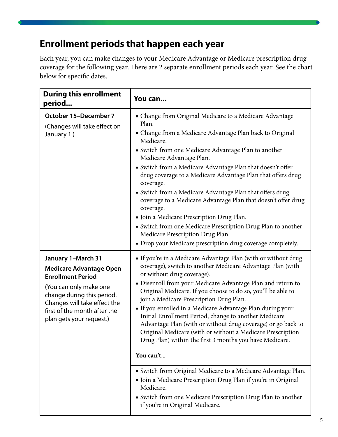### **Enrollment periods that happen each year**

Each year, you can make changes to your Medicare Advantage or Medicare prescription drug coverage for the following year. There are 2 separate enrollment periods each year. See the chart below for specific dates.

| <b>During this enrollment</b><br>period                                                                                                                                                                                              | You can                                                                                                                                                                                                                                                                                                                                                                                                                                                                                                                                                                                                                                                                                                                                                                                                                                                                                                          |  |
|--------------------------------------------------------------------------------------------------------------------------------------------------------------------------------------------------------------------------------------|------------------------------------------------------------------------------------------------------------------------------------------------------------------------------------------------------------------------------------------------------------------------------------------------------------------------------------------------------------------------------------------------------------------------------------------------------------------------------------------------------------------------------------------------------------------------------------------------------------------------------------------------------------------------------------------------------------------------------------------------------------------------------------------------------------------------------------------------------------------------------------------------------------------|--|
| October 15-December 7<br>(Changes will take effect on<br>January 1.)                                                                                                                                                                 | • Change from Original Medicare to a Medicare Advantage<br>Plan.<br>• Change from a Medicare Advantage Plan back to Original<br>Medicare.<br>· Switch from one Medicare Advantage Plan to another<br>Medicare Advantage Plan.<br>• Switch from a Medicare Advantage Plan that doesn't offer<br>drug coverage to a Medicare Advantage Plan that offers drug<br>coverage.<br>• Switch from a Medicare Advantage Plan that offers drug<br>coverage to a Medicare Advantage Plan that doesn't offer drug<br>coverage.<br>• Join a Medicare Prescription Drug Plan.<br>· Switch from one Medicare Prescription Drug Plan to another<br>Medicare Prescription Drug Plan.<br>• Drop your Medicare prescription drug coverage completely.                                                                                                                                                                                |  |
| January 1-March 31<br><b>Medicare Advantage Open</b><br><b>Enrollment Period</b><br>(You can only make one<br>change during this period.<br>Changes will take effect the<br>first of the month after the<br>plan gets your request.) | If you're in a Medicare Advantage Plan (with or without drug<br>coverage), switch to another Medicare Advantage Plan (with<br>or without drug coverage).<br>• Disenroll from your Medicare Advantage Plan and return to<br>Original Medicare. If you choose to do so, you'll be able to<br>join a Medicare Prescription Drug Plan.<br>If you enrolled in a Medicare Advantage Plan during your<br>Initial Enrollment Period, change to another Medicare<br>Advantage Plan (with or without drug coverage) or go back to<br>Original Medicare (with or without a Medicare Prescription<br>Drug Plan) within the first 3 months you have Medicare.<br>You can't<br>• Switch from Original Medicare to a Medicare Advantage Plan.<br>• Join a Medicare Prescription Drug Plan if you're in Original<br>Medicare.<br>· Switch from one Medicare Prescription Drug Plan to another<br>if you're in Original Medicare. |  |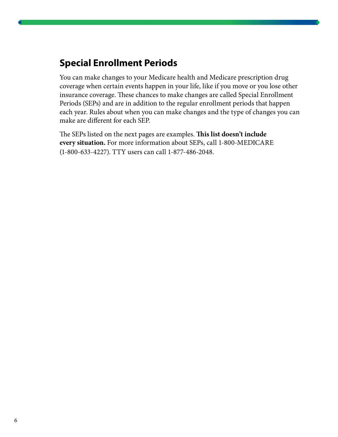### **Special Enrollment Periods**

You can make changes to your Medicare health and Medicare prescription drug coverage when certain events happen in your life, like if you move or you lose other insurance coverage. These chances to make changes are called Special Enrollment Periods (SEPs) and are in addition to the regular enrollment periods that happen each year. Rules about when you can make changes and the type of changes you can make are different for each SEP.

The SEPs listed on the next pages are examples. **This list doesn't include every situation.** For more information about SEPs, call 1-800-MEDICARE (1-800-633-4227). TTY users can call 1-877-486-2048.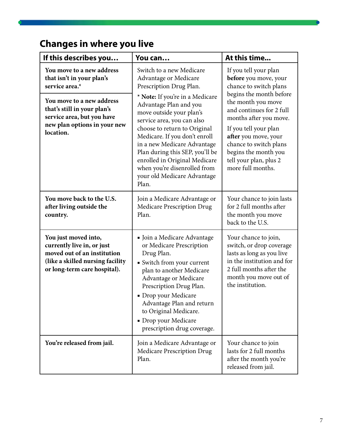# **Changes in where you live**

| If this describes you                                                                                                                                                                                           | You can                                                                                                                                                                                                                                                                                                                                                                                                                                         | At this time                                                                                                                                                                                                                                                                                                                      |
|-----------------------------------------------------------------------------------------------------------------------------------------------------------------------------------------------------------------|-------------------------------------------------------------------------------------------------------------------------------------------------------------------------------------------------------------------------------------------------------------------------------------------------------------------------------------------------------------------------------------------------------------------------------------------------|-----------------------------------------------------------------------------------------------------------------------------------------------------------------------------------------------------------------------------------------------------------------------------------------------------------------------------------|
| You move to a new address<br>that isn't in your plan's<br>service area.*<br>You move to a new address<br>that's still in your plan's<br>service area, but you have<br>new plan options in your new<br>location. | Switch to a new Medicare<br>Advantage or Medicare<br>Prescription Drug Plan.<br>* Note: If you're in a Medicare<br>Advantage Plan and you<br>move outside your plan's<br>service area, you can also<br>choose to return to Original<br>Medicare. If you don't enroll<br>in a new Medicare Advantage<br>Plan during this SEP, you'll be<br>enrolled in Original Medicare<br>when you're disenrolled from<br>your old Medicare Advantage<br>Plan. | If you tell your plan<br>before you move, your<br>chance to switch plans<br>begins the month before<br>the month you move<br>and continues for 2 full<br>months after you move.<br>If you tell your plan<br>after you move, your<br>chance to switch plans<br>begins the month you<br>tell your plan, plus 2<br>more full months. |
| You move back to the U.S.<br>after living outside the<br>country.                                                                                                                                               | Join a Medicare Advantage or<br>Medicare Prescription Drug<br>Plan.                                                                                                                                                                                                                                                                                                                                                                             | Your chance to join lasts<br>for 2 full months after<br>the month you move<br>back to the U.S.                                                                                                                                                                                                                                    |
| You just moved into,<br>currently live in, or just<br>moved out of an institution<br>(like a skilled nursing facility<br>or long-term care hospital).                                                           | • Join a Medicare Advantage<br>or Medicare Prescription<br>Drug Plan.<br>· Switch from your current<br>plan to another Medicare<br>Advantage or Medicare<br>Prescription Drug Plan.<br>• Drop your Medicare<br>Advantage Plan and return<br>to Original Medicare.<br>• Drop your Medicare<br>prescription drug coverage.                                                                                                                        | Your chance to join,<br>switch, or drop coverage<br>lasts as long as you live<br>in the institution and for<br>2 full months after the<br>month you move out of<br>the institution.                                                                                                                                               |
| You're released from jail.                                                                                                                                                                                      | Join a Medicare Advantage or<br><b>Medicare Prescription Drug</b><br>Plan.                                                                                                                                                                                                                                                                                                                                                                      | Your chance to join<br>lasts for 2 full months<br>after the month you're<br>released from jail.                                                                                                                                                                                                                                   |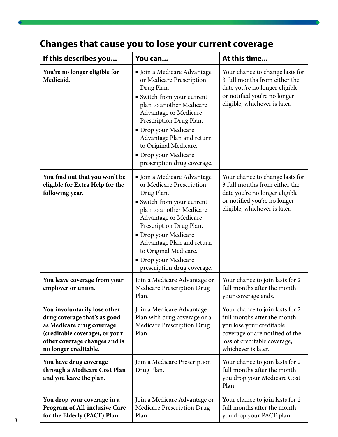# **Changes that cause you to lose your current coverage**

| If this describes you                                                                                                                                                                 | You can                                                                                                                                                                                                                                                                                                                  | At this time                                                                                                                                                                         |
|---------------------------------------------------------------------------------------------------------------------------------------------------------------------------------------|--------------------------------------------------------------------------------------------------------------------------------------------------------------------------------------------------------------------------------------------------------------------------------------------------------------------------|--------------------------------------------------------------------------------------------------------------------------------------------------------------------------------------|
| You're no longer eligible for<br>Medicaid.                                                                                                                                            | • Join a Medicare Advantage<br>or Medicare Prescription<br>Drug Plan.<br>• Switch from your current<br>plan to another Medicare<br>Advantage or Medicare<br>Prescription Drug Plan.<br>• Drop your Medicare<br>Advantage Plan and return<br>to Original Medicare.<br>• Drop your Medicare<br>prescription drug coverage. | Your chance to change lasts for<br>3 full months from either the<br>date you're no longer eligible<br>or notified you're no longer<br>eligible, whichever is later.                  |
| You find out that you won't be<br>eligible for Extra Help for the<br>following year.                                                                                                  | • Join a Medicare Advantage<br>or Medicare Prescription<br>Drug Plan.<br>· Switch from your current<br>plan to another Medicare<br>Advantage or Medicare<br>Prescription Drug Plan.<br>· Drop your Medicare<br>Advantage Plan and return<br>to Original Medicare.<br>• Drop your Medicare<br>prescription drug coverage. | Your chance to change lasts for<br>3 full months from either the<br>date you're no longer eligible<br>or notified you're no longer<br>eligible, whichever is later.                  |
| You leave coverage from your<br>employer or union.                                                                                                                                    | Join a Medicare Advantage or<br><b>Medicare Prescription Drug</b><br>Plan.                                                                                                                                                                                                                                               | Your chance to join lasts for 2<br>full months after the month<br>your coverage ends.                                                                                                |
| You involuntarily lose other<br>drug coverage that's as good<br>as Medicare drug coverage<br>(creditable coverage), or your<br>other coverage changes and is<br>no longer creditable. | Join a Medicare Advantage<br>Plan with drug coverage or a<br>Medicare Prescription Drug<br>Plan.                                                                                                                                                                                                                         | Your chance to join lasts for 2<br>full months after the month<br>you lose your creditable<br>coverage or are notified of the<br>loss of creditable coverage,<br>whichever is later. |
| You have drug coverage<br>through a Medicare Cost Plan<br>and you leave the plan.                                                                                                     | Join a Medicare Prescription<br>Drug Plan.                                                                                                                                                                                                                                                                               | Your chance to join lasts for 2<br>full months after the month<br>you drop your Medicare Cost<br>Plan.                                                                               |
| You drop your coverage in a<br><b>Program of All-inclusive Care</b><br>for the Elderly (PACE) Plan.                                                                                   | Join a Medicare Advantage or<br><b>Medicare Prescription Drug</b><br>Plan.                                                                                                                                                                                                                                               | Your chance to join lasts for 2<br>full months after the month<br>you drop your PACE plan.                                                                                           |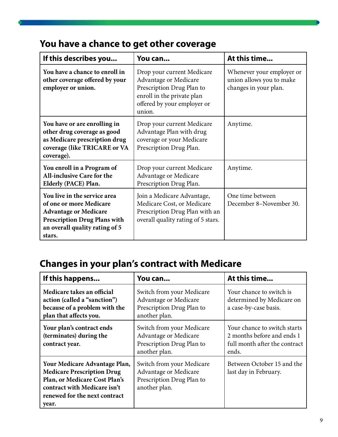### **You have a chance to get other coverage**

| If this describes you                                                                                                                                                      | You can                                                                                                                                                 | At this time                                                                   |
|----------------------------------------------------------------------------------------------------------------------------------------------------------------------------|---------------------------------------------------------------------------------------------------------------------------------------------------------|--------------------------------------------------------------------------------|
| You have a chance to enroll in<br>other coverage offered by your<br>employer or union.                                                                                     | Drop your current Medicare<br>Advantage or Medicare<br>Prescription Drug Plan to<br>enroll in the private plan<br>offered by your employer or<br>union. | Whenever your employer or<br>union allows you to make<br>changes in your plan. |
| You have or are enrolling in<br>other drug coverage as good<br>as Medicare prescription drug<br>coverage (like TRICARE or VA<br>coverage).                                 | Drop your current Medicare<br>Advantage Plan with drug<br>coverage or your Medicare<br>Prescription Drug Plan.                                          | Anytime.                                                                       |
| You enroll in a Program of<br><b>All-inclusive Care for the</b><br>Elderly (PACE) Plan.                                                                                    | Drop your current Medicare<br>Advantage or Medicare<br>Prescription Drug Plan.                                                                          | Anytime.                                                                       |
| You live in the service area<br>of one or more Medicare<br><b>Advantage or Medicare</b><br><b>Prescription Drug Plans with</b><br>an overall quality rating of 5<br>stars. | Join a Medicare Advantage,<br>Medicare Cost, or Medicare<br>Prescription Drug Plan with an<br>overall quality rating of 5 stars.                        | One time between<br>December 8-November 30.                                    |

# **Changes in your plan's contract with Medicare**

| If this happens                                                                                                                                                               | You can                                                                                          | At this time                                                                                         |
|-------------------------------------------------------------------------------------------------------------------------------------------------------------------------------|--------------------------------------------------------------------------------------------------|------------------------------------------------------------------------------------------------------|
| Medicare takes an official<br>action (called a "sanction")<br>because of a problem with the<br>plan that affects you.                                                         | Switch from your Medicare<br>Advantage or Medicare<br>Prescription Drug Plan to<br>another plan. | Your chance to switch is<br>determined by Medicare on<br>a case-by-case basis.                       |
| Your plan's contract ends<br>(terminates) during the<br>contract year.                                                                                                        | Switch from your Medicare<br>Advantage or Medicare<br>Prescription Drug Plan to<br>another plan. | Your chance to switch starts<br>2 months before and ends 1<br>full month after the contract<br>ends. |
| Your Medicare Advantage Plan,<br><b>Medicare Prescription Drug</b><br>Plan, or Medicare Cost Plan's<br>contract with Medicare isn't<br>renewed for the next contract<br>year. | Switch from your Medicare<br>Advantage or Medicare<br>Prescription Drug Plan to<br>another plan. | Between October 15 and the<br>last day in February.                                                  |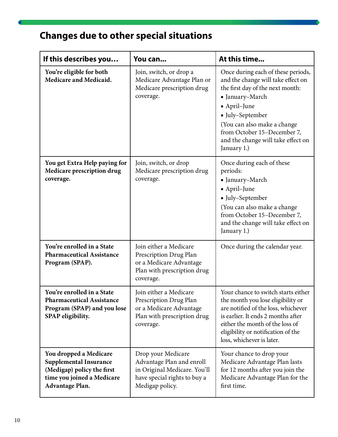# **Changes due to other special situations**

| If this describes you                                                                                                                  | You can                                                                                                                            | At this time                                                                                                                                                                                                                                                                       |
|----------------------------------------------------------------------------------------------------------------------------------------|------------------------------------------------------------------------------------------------------------------------------------|------------------------------------------------------------------------------------------------------------------------------------------------------------------------------------------------------------------------------------------------------------------------------------|
| You're eligible for both<br>Medicare and Medicaid.                                                                                     | Join, switch, or drop a<br>Medicare Advantage Plan or<br>Medicare prescription drug<br>coverage.                                   | Once during each of these periods,<br>and the change will take effect on<br>the first day of the next month:<br>Ianuary-March<br>• April-June<br>Iuly-September<br>(You can also make a change<br>from October 15-December 7,<br>and the change will take effect on<br>January 1.) |
| You get Extra Help paying for<br>Medicare prescription drug<br>coverage.                                                               | Join, switch, or drop<br>Medicare prescription drug<br>coverage.                                                                   | Once during each of these<br>periods:<br>■ January–March<br>• April-June<br>Iuly-September<br>(You can also make a change<br>from October 15-December 7,<br>and the change will take effect on<br>January 1.)                                                                      |
| You're enrolled in a State<br><b>Pharmaceutical Assistance</b><br>Program (SPAP).                                                      | Join either a Medicare<br>Prescription Drug Plan<br>or a Medicare Advantage<br>Plan with prescription drug<br>coverage.            | Once during the calendar year.                                                                                                                                                                                                                                                     |
| You're enrolled in a State<br><b>Pharmaceutical Assistance</b><br>Program (SPAP) and you lose<br>SPAP eligibility.                     | Join either a Medicare<br>Prescription Drug Plan<br>or a Medicare Advantage<br>Plan with prescription drug<br>coverage.            | Your chance to switch starts either<br>the month you lose eligibility or<br>are notified of the loss, whichever<br>is earlier. It ends 2 months after<br>either the month of the loss of<br>eligibility or notification of the<br>loss, whichever is later.                        |
| You dropped a Medicare<br><b>Supplemental Insurance</b><br>(Medigap) policy the first<br>time you joined a Medicare<br>Advantage Plan. | Drop your Medicare<br>Advantage Plan and enroll<br>in Original Medicare. You'll<br>have special rights to buy a<br>Medigap policy. | Your chance to drop your<br>Medicare Advantage Plan lasts<br>for 12 months after you join the<br>Medicare Advantage Plan for the<br>first time.                                                                                                                                    |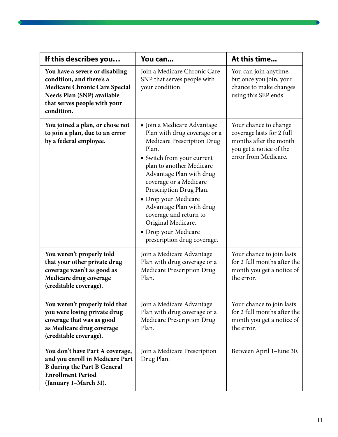| If this describes you                                                                                                                                                          | You can                                                                                                                                                                                                                                                                                                                                                                                                  | At this time                                                                                                                    |
|--------------------------------------------------------------------------------------------------------------------------------------------------------------------------------|----------------------------------------------------------------------------------------------------------------------------------------------------------------------------------------------------------------------------------------------------------------------------------------------------------------------------------------------------------------------------------------------------------|---------------------------------------------------------------------------------------------------------------------------------|
| You have a severe or disabling<br>condition, and there's a<br><b>Medicare Chronic Care Special</b><br>Needs Plan (SNP) available<br>that serves people with your<br>condition. | Join a Medicare Chronic Care<br>SNP that serves people with<br>your condition.                                                                                                                                                                                                                                                                                                                           | You can join anytime,<br>but once you join, your<br>chance to make changes<br>using this SEP ends.                              |
| You joined a plan, or chose not<br>to join a plan, due to an error<br>by a federal employee.                                                                                   | • Join a Medicare Advantage<br>Plan with drug coverage or a<br>Medicare Prescription Drug<br>Plan.<br>• Switch from your current<br>plan to another Medicare<br>Advantage Plan with drug<br>coverage or a Medicare<br>Prescription Drug Plan.<br>• Drop your Medicare<br>Advantage Plan with drug<br>coverage and return to<br>Original Medicare.<br>• Drop your Medicare<br>prescription drug coverage. | Your chance to change<br>coverage lasts for 2 full<br>months after the month<br>you get a notice of the<br>error from Medicare. |
| You weren't properly told<br>that your other private drug<br>coverage wasn't as good as<br>Medicare drug coverage<br>(creditable coverage).                                    | Join a Medicare Advantage<br>Plan with drug coverage or a<br>Medicare Prescription Drug<br>Plan.                                                                                                                                                                                                                                                                                                         | Your chance to join lasts<br>for 2 full months after the<br>month you get a notice of<br>the error.                             |
| You weren't properly told that<br>you were losing private drug<br>coverage that was as good<br>as Medicare drug coverage<br>(creditable coverage).                             | Join a Medicare Advantage<br>Plan with drug coverage or a<br><b>Medicare Prescription Drug</b><br>Plan.                                                                                                                                                                                                                                                                                                  | Your chance to join lasts<br>for 2 full months after the<br>month you get a notice of<br>the error.                             |
| You don't have Part A coverage,<br>and you enroll in Medicare Part<br><b>B</b> during the Part B General<br><b>Enrollment Period</b><br>(January 1-March 31).                  | Join a Medicare Prescription<br>Drug Plan.                                                                                                                                                                                                                                                                                                                                                               | Between April 1-June 30.                                                                                                        |